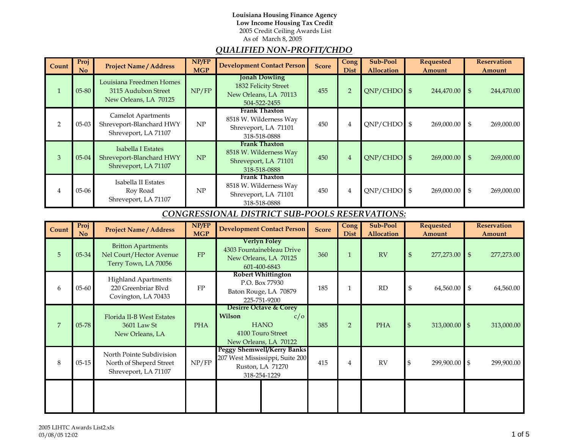#### As of March 8, 2005 **Louisiana Housing Finance Agency Low Income Housing Tax Credit** 2005 Credit Ceiling Awards List

# *QUALIFIED NON-PROFIT/CHDO*

| Count          | Proj<br>$\overline{N}$                                | <b>Project Name / Address</b>                                                 | NP/FP<br><b>MGP</b> | <b>Development Contact Person</b>                                                     | <b>Score</b> | <b>Cong</b><br><b>Dist</b> | Sub-Pool<br>Allocation | <b>Requested</b><br>Amount | <b>Reservation</b><br>Amount |
|----------------|-------------------------------------------------------|-------------------------------------------------------------------------------|---------------------|---------------------------------------------------------------------------------------|--------------|----------------------------|------------------------|----------------------------|------------------------------|
|                | 05-80                                                 | Louisiana Freedmen Homes<br>3115 Audubon Street<br>New Orleans, LA 70125      | NP/FP               | <b>Jonah Dowling</b><br>1832 Felicity Street<br>New Orleans, LA 70113<br>504-522-2455 | 455          | $\overline{2}$             | $QNP/CHDO$ \$          | 244,470.00                 | $\mathfrak{S}$<br>244,470.00 |
| $\overline{2}$ | $05-03$                                               | <b>Camelot Apartments</b><br>Shreveport-Blanchard HWY<br>Shreveport, LA 71107 | NP                  | Frank Thaxton<br>8518 W. Wilderness Way<br>Shreveport, LA 71101<br>318-518-0888       | 450          | $\overline{4}$             | $QNP/CHDO$ \$          | 269,000.00                 | \$<br>269,000.00             |
| 3              | $05 - 04$                                             | Isabella I Estates<br>Shreveport-Blanchard HWY<br>Shreveport, LA 71107        | NP                  | Frank Thaxton<br>8518 W. Wilderness Way<br>Shreveport, LA 71101<br>318-518-0888       | 450          | $\overline{4}$             | $QNP/CHDO$ \$          | 269,000.00                 | $\mathfrak{L}$<br>269,000.00 |
| 4              | $05-06$                                               | Isabella II Estates<br>Roy Road<br>Shreveport, LA 71107                       | NP                  | Frank Thaxton<br>8518 W. Wilderness Way<br>Shreveport, LA 71101<br>318-518-0888       | 450          | 4                          | $QNP/CHDO$ \$          | 269,000.00                 | \$<br>269,000.00             |
|                | <b>CONGRESSIONAL DISTRICT SUB-POOLS RESERVATIONS:</b> |                                                                               |                     |                                                                                       |              |                            |                        |                            |                              |
|                | Proj                                                  |                                                                               | NP/FP               | $\overline{\phantom{a}}$                                                              |              | Cong                       | Sub-Pool               | <b>Requested</b>           | <b>Reservation</b>           |

| Count          | Proj<br>N <sub>o</sub> | <b>Project Name / Address</b>                                                | NP/FP<br><b>MGP</b> | <b>Development Contact Person</b>                                                                               | <b>Score</b> | Cong<br><b>Dist</b> | Sub-Pool<br>Allocation | Requested<br>Amount              | <b>Reservation</b><br>Amount |
|----------------|------------------------|------------------------------------------------------------------------------|---------------------|-----------------------------------------------------------------------------------------------------------------|--------------|---------------------|------------------------|----------------------------------|------------------------------|
| 5              | 05-34                  | <b>Britton Apartments</b><br>Nel Court/Hector Avenue<br>Terry Town, LA 70056 | FP                  | Verlyn Foley<br>4303 Fountainebleau Drive<br>New Orleans, LA 70125<br>601-400-6843                              | 360          |                     | RV                     | 277,273.00<br>$\mathfrak{s}$     | 277,273.00<br>$\mathfrak{S}$ |
| 6              | $05 - 60$              | <b>Highland Apartments</b><br>220 Greenbriar Blvd<br>Covington, LA 70433     | FP                  | <b>Robert Whittington</b><br>P.O. Box 77930<br>Baton Rouge, LA 70879<br>225-751-9200                            | 185          |                     | RD                     | \$<br>64,560.00                  | \$<br>64,560.00              |
| $\overline{7}$ | 05-78                  | Florida II-B West Estates<br>3601 Law St<br>New Orleans, LA                  | <b>PHA</b>          | <b>Desirre Octave &amp; Corey</b><br>Wilson<br>c/O<br><b>HANO</b><br>4100 Touro Street<br>New Orleans, LA 70122 | 385          | $\overline{2}$      | <b>PHA</b>             | $313,000.00$ \$<br>$\mathcal{S}$ | 313,000.00                   |
| 8              | $05 - 15$              | North Pointe Subdivision<br>North of Sheperd Street<br>Shreveport, LA 71107  | NP/FP               | <b>Peggy Shemwell/Kerry Banks</b><br>207 West Mississippi, Suite 200<br>Ruston, LA 71270<br>318-254-1229        | 415          | 4                   | RV                     | 299,900.00 \$<br>\$              | 299,900.00                   |
|                |                        |                                                                              |                     |                                                                                                                 |              |                     |                        |                                  |                              |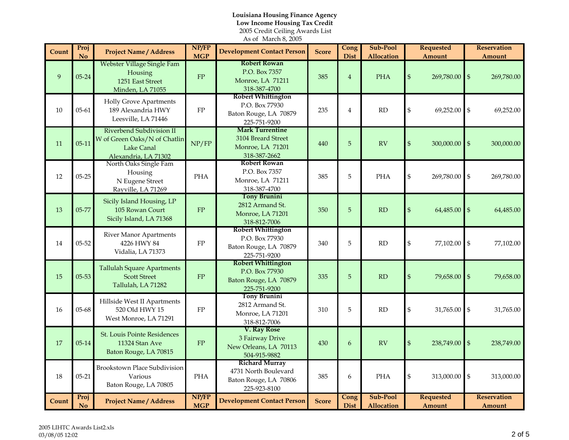### As of March 8, 2005 **Louisiana Housing Finance Agency Low Income Housing Tax Credit** 2005 Credit Ceilin g Awards List

| Count | Proj<br>N <sub>o</sub> | <b>Project Name / Address</b>                                                                  | NP/FP<br><b>MGP</b> | <b>Development Contact Person</b>                                                      | <b>Score</b> | Cong<br><b>Dist</b> | Sub-Pool<br><b>Allocation</b> |                                                 | <b>Requested</b><br>Amount |                                               | <b>Reservation</b><br>Amount |
|-------|------------------------|------------------------------------------------------------------------------------------------|---------------------|----------------------------------------------------------------------------------------|--------------|---------------------|-------------------------------|-------------------------------------------------|----------------------------|-----------------------------------------------|------------------------------|
| 9     | $05 - 24$              | Webster Village Single Fam<br>Housing<br>1251 East Street<br>Minden, LA 71055                  | ${\rm FP}$          | <b>Robert Rowan</b><br>P.O. Box 7357<br>Monroe, LA 71211<br>318-387-4700               | 385          | $\overline{4}$      | <b>PHA</b>                    | $\mathbb{S}$                                    | 269,780.00                 | $\mathbb{S}$                                  | 269,780.00                   |
| 10    | $05 - 61$              | <b>Holly Grove Apartments</b><br>189 Alexandria HWY<br>Leesville, LA 71446                     | ${\rm FP}$          | <b>Robert Whittington</b><br>P.O. Box 77930<br>Baton Rouge, LA 70879<br>225-751-9200   | 235          | $\overline{4}$      | RD                            | \$                                              | 69,252.00                  | $\mathbb{S}$                                  | 69,252.00                    |
| 11    | $05-11$                | Riverbend Subdivision II<br>W of Green Oaks/N of Chatlin<br>Lake Canal<br>Alexandria, LA 71302 | NP/FP               | <b>Mark Turrentine</b><br>3104 Breard Street<br>Monroe, LA 71201<br>318-387-2662       | 440          | 5                   | <b>RV</b>                     | $\mathbb{S}$                                    | 300,000.00                 | $\mathbb{S}$                                  | 300,000.00                   |
| 12    | $05 - 25$              | North Oaks Single Fam<br>Housing<br>N Eugene Street<br>Rayville, LA 71269                      | <b>PHA</b>          | <b>Robert Rowan</b><br>P.O. Box 7357<br>Monroe, LA 71211<br>318-387-4700               | 385          | 5                   | <b>PHA</b>                    | \$                                              | 269,780.00                 | $\mathfrak{s}$                                | 269,780.00                   |
| 13    | 05-77                  | Sicily Island Housing, LP<br>105 Rowan Court<br>Sicily Island, LA 71368                        | FP                  | <b>Tony Brunini</b><br>2812 Armand St.<br>Monroe, LA 71201<br>318-812-7006             | 350          | 5                   | RD                            | $\, \, \raisebox{10pt}{\text{\circle*{1.5}}}\,$ | 64,485.00                  | $\mathbb{S}$                                  | 64,485.00                    |
| 14    | $05 - 52$              | <b>River Manor Apartments</b><br>4226 HWY 84<br>Vidalia, LA 71373                              | ${\rm FP}$          | <b>Robert Whittington</b><br>P.O. Box 77930<br>Baton Rouge, LA 70879<br>225-751-9200   | 340          | 5                   | RD                            | \$                                              | 77,102.00                  | $\, \, \raisebox{12pt}{$\scriptstyle \circ$}$ | 77,102.00                    |
| 15    | $05 - 53$              | <b>Tallulah Square Apartments</b><br><b>Scott Street</b><br>Tallulah, LA 71282                 | FP                  | <b>Robert Whittington</b><br>P.O. Box 77930<br>Baton Rouge, LA 70879<br>225-751-9200   | 335          | 5                   | RD                            | $\$\$                                           | 79,658.00                  | $\mathbb{S}$                                  | 79,658.00                    |
| 16    | $05 - 68$              | Hillside West II Apartments<br>520 Old HWY 15<br>West Monroe, LA 71291                         | ${\rm FP}$          | <b>Tony Brunini</b><br>2812 Armand St.<br>Monroe, LA 71201<br>318-812-7006             | 310          | 5                   | RD                            | \$                                              | 31,765.00                  | $\, \, \raisebox{12pt}{$\scriptstyle \circ$}$ | 31,765.00                    |
| 17    | $05-14$                | <b>St. Louis Pointe Residences</b><br>11324 Stan Ave<br>Baton Rouge, LA 70815                  | ${\rm FP}$          | V. Ray Rose<br>3 Fairway Drive<br>New Orleans, LA 70113<br>504-915-9882                | 430          | 6                   | <b>RV</b>                     | $\mathfrak{S}$                                  | 238,749.00                 | $\mathbb{S}$                                  | 238,749.00                   |
| 18    | $05 - 21$              | <b>Brookstown Place Subdivision</b><br>Various<br>Baton Rouge, LA 70805                        | <b>PHA</b>          | <b>Richard Murray</b><br>4731 North Boulevard<br>Baton Rouge, LA 70806<br>225-923-8100 | 385          | 6                   | <b>PHA</b>                    | \$                                              | 313,000.00                 | $\mathbb{S}$                                  | 313,000.00                   |
| Count | Proj<br>No             | <b>Project Name / Address</b>                                                                  | NP/FP<br><b>MGP</b> | <b>Development Contact Person</b>                                                      | <b>Score</b> | Cong<br><b>Dist</b> | Sub-Pool<br><b>Allocation</b> |                                                 | <b>Requested</b><br>Amount |                                               | <b>Reservation</b><br>Amount |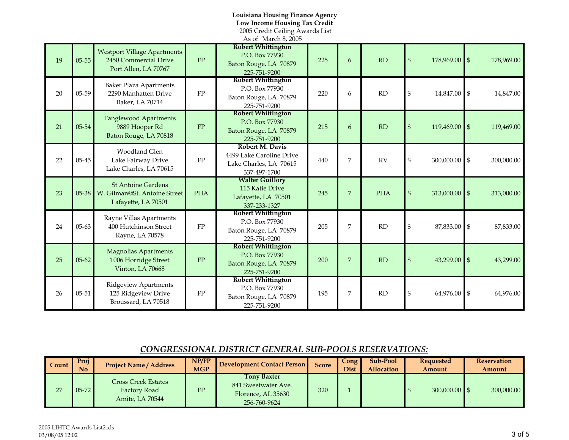### **Louisiana Housing Finance Agency Low Income Housing Tax Credit**

2005 Credit Ceiling Awards List

|    |           |                                                                                        |            | As of March 8, 2005                                                                   |     |                |            |                |                 |            |
|----|-----------|----------------------------------------------------------------------------------------|------------|---------------------------------------------------------------------------------------|-----|----------------|------------|----------------|-----------------|------------|
| 19 | $05 - 55$ | <b>Westport Village Apartments</b><br>2450 Commercial Drive<br>Port Allen, LA 70767    | FP         | <b>Robert Whittington</b><br>P.O. Box 77930<br>Baton Rouge, LA 70879<br>225-751-9200  | 225 | 6              | RD         | $\mathbb{S}$   | 178,969.00 \$   | 178,969.00 |
| 20 | 05-59     | <b>Baker Plaza Apartments</b><br>2290 Manhatten Drive<br>Baker, LA 70714               | ${\rm FP}$ | <b>Robert Whittington</b><br>P.O. Box 77930<br>Baton Rouge, LA 70879<br>225-751-9200  | 220 | 6              | RD         | \$             | 14,847.00 \$    | 14,847.00  |
| 21 | 05-54     | <b>Tanglewood Apartments</b><br>9889 Hooper Rd<br>Baton Rouge, LA 70818                | FP         | <b>Robert Whittington</b><br>P.O. Box 77930<br>Baton Rouge, LA 70879<br>225-751-9200  | 215 | 6              | RD         | $\$\$          | 119,469.00 \$   | 119,469.00 |
| 22 | $05 - 45$ | <b>Woodland Glen</b><br>Lake Fairway Drive<br>Lake Charles, LA 70615                   | ${\rm FP}$ | Robert M. Davis<br>4499 Lake Caroline Drive<br>Lake Charles, LA 70615<br>337-497-1700 | 440 | 7              | <b>RV</b>  | \$             | 300,000.00 \$   | 300,000.00 |
| 23 |           | <b>St Antoine Gardens</b><br>05-38 W. Gilman@St. Antoine Street<br>Lafayette, LA 70501 | <b>PHA</b> | <b>Walter Guillory</b><br>115 Katie Drive<br>Lafayette, LA 70501<br>337-233-1327      | 245 | $\overline{7}$ | <b>PHA</b> | $\mathfrak{S}$ | $313,000.00$ \$ | 313,000.00 |
| 24 | $05 - 63$ | Rayne Villas Apartments<br>400 Hutchinson Street<br>Rayne, LA 70578                    | FP         | <b>Robert Whittington</b><br>P.O. Box 77930<br>Baton Rouge, LA 70879<br>225-751-9200  | 205 | 7              | RD         | \$             | 87,833.00 \$    | 87,833.00  |
| 25 | $05 - 62$ | <b>Magnolias Apartments</b><br>1006 Horridge Street<br>Vinton, LA 70668                | ${\rm FP}$ | <b>Robert Whittington</b><br>P.O. Box 77930<br>Baton Rouge, LA 70879<br>225-751-9200  | 200 | $\overline{7}$ | RD         | $\mathfrak{S}$ | $43,299.00$ \$  | 43,299.00  |
| 26 | $05 - 51$ | <b>Ridgeview Apartments</b><br>125 Ridgeview Drive<br>Broussard, LA 70518              | FP         | <b>Robert Whittington</b><br>P.O. Box 77930<br>Baton Rouge, LA 70879<br>225-751-9200  | 195 | 7              | RD         | \$             | 64,976.00 \$    | 64,976.00  |

## *CONGRESSIONAL DISTRICT GENERAL SUB-POOLS RESERVATIONS:*

| Count | Proj<br><b>No</b> | <b>Project Name / Address</b>                          | NP/FP<br><b>MGP</b> | <b>Development Contact Person</b>                                        | <b>Score</b> | <b>Cong</b><br><b>Dist</b> | Sub-Pool<br>Allocation | <b>Requested</b><br>Amount | <b>Reservation</b><br>Amount |
|-------|-------------------|--------------------------------------------------------|---------------------|--------------------------------------------------------------------------|--------------|----------------------------|------------------------|----------------------------|------------------------------|
| 27    | $05 - 72$         | Cross Creek Estates<br>Factory Road<br>Amite, LA 70544 | FP                  | Tonv Baxter<br>841 Sweetwater Ave.<br>Florence, AL 35630<br>256-760-9624 | 320          |                            |                        | $300,000,00$ \$            | 300,000.00                   |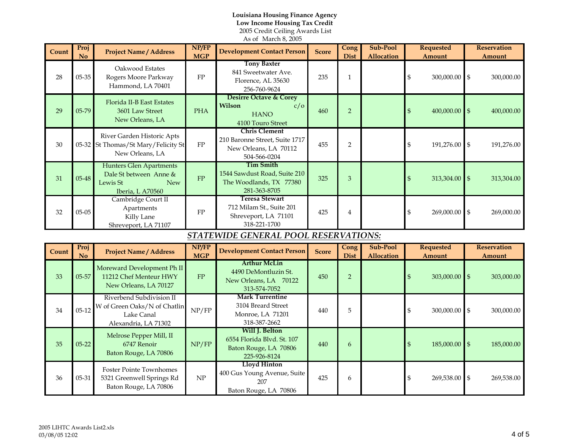### As of March 8, 2005 **Louisiana Housing Finance Agency Low Income Housing Tax Credit** 2005 Credit Ceiling Awards List

| Count | Proj<br><b>No</b> | <b>Project Name / Address</b>                                                                   | NP/FP<br><b>MGP</b> | <b>Development Contact Person</b>                                                               | <b>Score</b> | Cong<br><b>Dist</b> | Sub-Pool<br><b>Allocation</b> | <b>Requested</b><br><b>Amount</b> | <b>Reservation</b><br>Amount        |
|-------|-------------------|-------------------------------------------------------------------------------------------------|---------------------|-------------------------------------------------------------------------------------------------|--------------|---------------------|-------------------------------|-----------------------------------|-------------------------------------|
| 28    | 05-35             | Oakwood Estates<br>Rogers Moore Parkway<br>Hammond, LA 70401                                    | ${\rm FP}$          | <b>Tony Baxter</b><br>841 Sweetwater Ave.<br>Florence, AL 35630<br>256-760-9624                 | 235          | $\mathbf{1}$        |                               | $\mathfrak{S}$<br>300,000.00      | $\mathfrak{S}$<br>300,000.00        |
| 29    | 05-79             | Florida II-B East Estates<br>3601 Law Street<br>New Orleans, LA                                 | <b>PHA</b>          | <b>Desirre Octave &amp; Corey</b><br>Wilson<br>c/o<br><b>HANO</b><br>4100 Touro Street          | 460          | 2                   |                               | $\boldsymbol{\$}$<br>400,000.00   | $\mathfrak{S}$<br>400,000.00        |
| 30    |                   | River Garden Historic Apts<br>05-32 St Thomas/St Mary/Felicity St<br>New Orleans, LA            | FP                  | <b>Chris Clement</b><br>210 Baronne Street, Suite 1717<br>New Orleans, LA 70112<br>504-566-0204 | 455          | $\overline{2}$      |                               | $\,$<br>191,276.00                | $\mathfrak{S}$<br>191,276.00        |
| 31    | 05-48             | <b>Hunters Glen Apartments</b><br>Dale St between Anne &<br>Lewis St<br>New<br>Iberia, L A70560 | ${\rm FP}$          | <b>Tim Smith</b><br>1544 Sawdust Road, Suite 210<br>The Woodlands, TX 77380<br>281-363-8705     | 325          | $\mathfrak{B}$      |                               | $\mathfrak s$<br>313,304.00 \$    | 313,304.00                          |
| 32    | $05 - 05$         | Cambridge Court II<br>Apartments<br>Killy Lane<br>Shreveport, LA 71107                          | ${\rm FP}$          | Teresa Stewart<br>712 Milam St., Suite 201<br>Shreveport, LA 71101<br>318-221-1700              | 425          | $\overline{4}$      |                               | \$<br>269,000.00                  | $\mathfrak{S}$<br>269,000.00        |
|       |                   |                                                                                                 |                     | STATEWIDE GENERAL POOL RESERVATIONS:                                                            |              |                     |                               |                                   |                                     |
| Count | Proj<br>No        | <b>Project Name / Address</b>                                                                   | NP/FP<br><b>MGP</b> | <b>Development Contact Person</b>                                                               | <b>Score</b> | Cong<br><b>Dist</b> | Sub-Pool<br><b>Allocation</b> | <b>Requested</b><br><b>Amount</b> | <b>Reservation</b><br><b>Amount</b> |
| 33    | 05-57             | Moreward Development Ph II<br>11212 Chef Menteur HWY<br>New Orleans, LA 70127                   | FP                  | <b>Arthur McLin</b><br>4490 DeMontluzin St.<br>New Orleans, LA 70122<br>313-574-7052            | 450          | 2                   |                               | $\mathbb{S}$<br>303,000.00        | $\mathfrak{g}$<br>303,000.00        |
| 34    | $05-12$           | Riverbend Subdivision II<br>W of Green Oaks/N of Chatlin<br>Lake Canal<br>Alexandria, LA 71302  | NP/FP               | <b>Mark Turrentine</b><br>3104 Breard Street<br>Monroe, LA 71201<br>318-387-2662                | 440          | 5                   |                               | $\mathfrak{S}$<br>300,000.00      | $\mathfrak{S}$<br>300,000.00        |
| 35    | $05 - 22$         | Melrose Pepper Mill, II<br>6747 Renoir<br>Baton Rouge, LA 70806                                 | NP/FP               | Will J. Belton<br>6554 Florida Blvd. St. 107<br>Baton Rouge, LA 70806<br>225-926-8124           | 440          | 6                   |                               | \$<br>185,000.00 \$               | 185,000.00                          |
| 36    | 05-31             | <b>Foster Pointe Townhomes</b><br>5321 Greenwell Springs Rd<br>Baton Rouge, LA 70806            | NP                  | <b>Lloyd Hinton</b><br>400 Gus Young Avenue, Suite<br>207<br>Baton Rouge, LA 70806              | 425          | 6                   |                               | \$<br>269,538.00                  | $\mathfrak{S}$<br>269,538.00        |